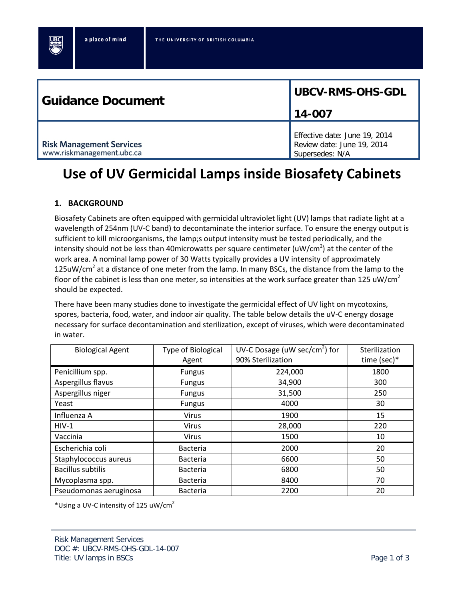| <b>Guidance Document</b>                                     | UBCV-RMS-OHS-GDL                                                               |  |
|--------------------------------------------------------------|--------------------------------------------------------------------------------|--|
|                                                              | 14-007                                                                         |  |
| <b>Risk Management Services</b><br>www.riskmanagement.ubc.ca | Effective date: June 19, 2014<br>Review date: June 19, 2014<br>Supersedes: N/A |  |

# **Use of UV Germicidal Lamps inside Biosafety Cabinets**

# **1. BACKGROUND**

Biosafety Cabinets are often equipped with germicidal ultraviolet light (UV) lamps that radiate light at a wavelength of 254nm (UV-C band) to decontaminate the interior surface. To ensure the energy output is sufficient to kill microorganisms, the lamp;s output intensity must be tested periodically, and the intensity should not be less than 40microwatts per square centimeter (uW/cm<sup>2</sup>) at the center of the work area. A nominal lamp power of 30 Watts typically provides a UV intensity of approximately 125uW/cm<sup>2</sup> at a distance of one meter from the lamp. In many BSCs, the distance from the lamp to the floor of the cabinet is less than one meter, so intensities at the work surface greater than 125 uW/cm<sup>2</sup> should be expected.

There have been many studies done to investigate the germicidal effect of UV light on mycotoxins, spores, bacteria, food, water, and indoor air quality. The table below details the uV-C energy dosage necessary for surface decontamination and sterilization, except of viruses, which were decontaminated in water.

| <b>Biological Agent</b>  | <b>Type of Biological</b> | UV-C Dosage (uW sec/cm <sup>2</sup> ) for | Sterilization |
|--------------------------|---------------------------|-------------------------------------------|---------------|
|                          | Agent                     | 90% Sterilization                         | time (sec)*   |
| Penicillium spp.         | <b>Fungus</b>             | 224,000                                   | 1800          |
| Aspergillus flavus       | Fungus                    | 34,900                                    | 300           |
| Aspergillus niger        | <b>Fungus</b>             | 31,500                                    | 250           |
| Yeast                    | <b>Fungus</b>             | 4000                                      | 30            |
| Influenza A              | <b>Virus</b>              | 1900                                      | 15            |
| $HIV-1$                  | <b>Virus</b>              | 28,000                                    | 220           |
| Vaccinia                 | <b>Virus</b>              | 1500                                      | 10            |
| Escherichia coli         | <b>Bacteria</b>           | 2000                                      | 20            |
| Staphylococcus aureus    | <b>Bacteria</b>           | 6600                                      | 50            |
| <b>Bacillus subtilis</b> | <b>Bacteria</b>           | 6800                                      | 50            |
| Mycoplasma spp.          | <b>Bacteria</b>           | 8400                                      | 70            |
| Pseudomonas aeruginosa   | <b>Bacteria</b>           | 2200                                      | 20            |

\*Using a UV-C intensity of 125 uW/cm<sup>2</sup>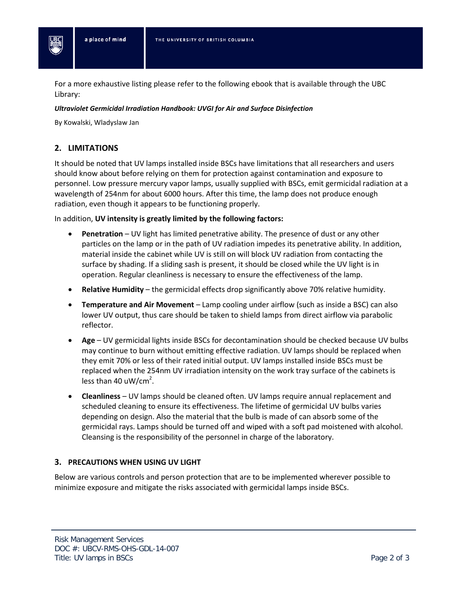For a more exhaustive listing please refer to the following ebook that is available through the UBC Library:

## *Ultraviolet Germicidal Irradiation Handbook: UVGI for Air and Surface Disinfection*

By Kowalski, Wladyslaw Jan

## **2. LIMITATIONS**

It should be noted that UV lamps installed inside BSCs have limitations that all researchers and users should know about before relying on them for protection against contamination and exposure to personnel. Low pressure mercury vapor lamps, usually supplied with BSCs, emit germicidal radiation at a wavelength of 254nm for about 6000 hours. After this time, the lamp does not produce enough radiation, even though it appears to be functioning properly.

In addition, **UV intensity is greatly limited by the following factors:**

- **Penetration** UV light has limited penetrative ability. The presence of dust or any other particles on the lamp or in the path of UV radiation impedes its penetrative ability. In addition, material inside the cabinet while UV is still on will block UV radiation from contacting the surface by shading. If a sliding sash is present, it should be closed while the UV light is in operation. Regular cleanliness is necessary to ensure the effectiveness of the lamp.
- **Relative Humidity** the germicidal effects drop significantly above 70% relative humidity.
- **Temperature and Air Movement** Lamp cooling under airflow (such as inside a BSC) can also lower UV output, thus care should be taken to shield lamps from direct airflow via parabolic reflector.
- **Age** UV germicidal lights inside BSCs for decontamination should be checked because UV bulbs may continue to burn without emitting effective radiation. UV lamps should be replaced when they emit 70% or less of their rated initial output. UV lamps installed inside BSCs must be replaced when the 254nm UV irradiation intensity on the work tray surface of the cabinets is less than 40 uW/cm<sup>2</sup>.
- **Cleanliness** UV lamps should be cleaned often. UV lamps require annual replacement and scheduled cleaning to ensure its effectiveness. The lifetime of germicidal UV bulbs varies depending on design. Also the material that the bulb is made of can absorb some of the germicidal rays. Lamps should be turned off and wiped with a soft pad moistened with alcohol. Cleansing is the responsibility of the personnel in charge of the laboratory.

## **3. PRECAUTIONS WHEN USING UV LIGHT**

Below are various controls and person protection that are to be implemented wherever possible to minimize exposure and mitigate the risks associated with germicidal lamps inside BSCs.